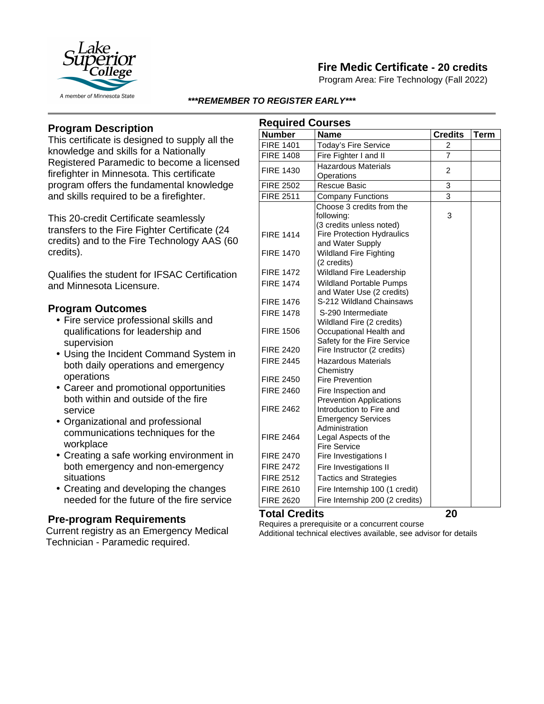

## **Fire Medic Certificate - 20 credits**

Program Area: Fire Technology (Fall 2022)

#### *\*\*\*REMEMBER TO REGISTER EARLY\*\*\**

## **Program Description**

This certificate is designed to supply all the knowledge and skills for a Nationally Registered Paramedic to become a licensed firefighter in Minnesota. This certificate program offers the fundamental knowledge and skills required to be a firefighter.

This 20-credit Certificate seamlessly transfers to the Fire Fighter Certificate (24 credits) and to the Fire Technology AAS (60 credits).

Qualifies the student for IFSAC Certification and Minnesota Licensure.

#### **Program Outcomes**

- Fire service professional skills and qualifications for leadership and supervision
- Using the Incident Command System in both daily operations and emergency operations
- Career and promotional opportunities both within and outside of the fire service
- Organizational and professional communications techniques for the workplace
- Creating a safe working environment in both emergency and non-emergency situations
- Creating and developing the changes needed for the future of the fire service

### **Pre-program Requirements**

Current registry as an Emergency Medical Technician - Paramedic required.

| <b>Required Courses</b> |                                                       |                |      |
|-------------------------|-------------------------------------------------------|----------------|------|
| <b>Number</b>           | <b>Name</b>                                           | <b>Credits</b> | Term |
| <b>FIRE 1401</b>        | <b>Today's Fire Service</b>                           | $\overline{2}$ |      |
| <b>FIRE 1408</b>        | Fire Fighter I and II                                 | 7              |      |
| <b>FIRE 1430</b>        | <b>Hazardous Materials</b><br>Operations              | 2              |      |
| <b>FIRE 2502</b>        | <b>Rescue Basic</b>                                   | 3              |      |
| <b>FIRE 2511</b>        | <b>Company Functions</b>                              | $\overline{3}$ |      |
|                         | Choose 3 credits from the                             |                |      |
|                         | following:                                            | 3              |      |
|                         | (3 credits unless noted)                              |                |      |
| <b>FIRE 1414</b>        | <b>Fire Protection Hydraulics</b>                     |                |      |
|                         | and Water Supply                                      |                |      |
| <b>FIRE 1470</b>        | <b>Wildland Fire Fighting</b>                         |                |      |
|                         | (2 credits)                                           |                |      |
| <b>FIRE 1472</b>        | Wildland Fire Leadership                              |                |      |
| <b>FIRE 1474</b>        | <b>Wildland Portable Pumps</b>                        |                |      |
| <b>FIRE 1476</b>        | and Water Use (2 credits)<br>S-212 Wildland Chainsaws |                |      |
|                         |                                                       |                |      |
| <b>FIRE 1478</b>        | S-290 Intermediate<br>Wildland Fire (2 credits)       |                |      |
| <b>FIRE 1506</b>        | Occupational Health and                               |                |      |
|                         | Safety for the Fire Service                           |                |      |
| <b>FIRE 2420</b>        | Fire Instructor (2 credits)                           |                |      |
| <b>FIRE 2445</b>        | <b>Hazardous Materials</b>                            |                |      |
|                         | Chemistry                                             |                |      |
| <b>FIRE 2450</b>        | <b>Fire Prevention</b>                                |                |      |
| <b>FIRE 2460</b>        | Fire Inspection and                                   |                |      |
|                         | <b>Prevention Applications</b>                        |                |      |
| <b>FIRE 2462</b>        | Introduction to Fire and                              |                |      |
|                         | <b>Emergency Services</b>                             |                |      |
| <b>FIRE 2464</b>        | Administration                                        |                |      |
|                         | Legal Aspects of the<br><b>Fire Service</b>           |                |      |
| <b>FIRE 2470</b>        | Fire Investigations I                                 |                |      |
| <b>FIRE 2472</b>        | Fire Investigations II                                |                |      |
| <b>FIRE 2512</b>        | <b>Tactics and Strategies</b>                         |                |      |
| <b>FIRE 2610</b>        | Fire Internship 100 (1 credit)                        |                |      |
| <b>FIRE 2620</b>        | Fire Internship 200 (2 credits)                       |                |      |
|                         |                                                       |                |      |

### **Total Credits 20**

Requires a prerequisite or a concurrent course Additional technical electives available, see advisor for details